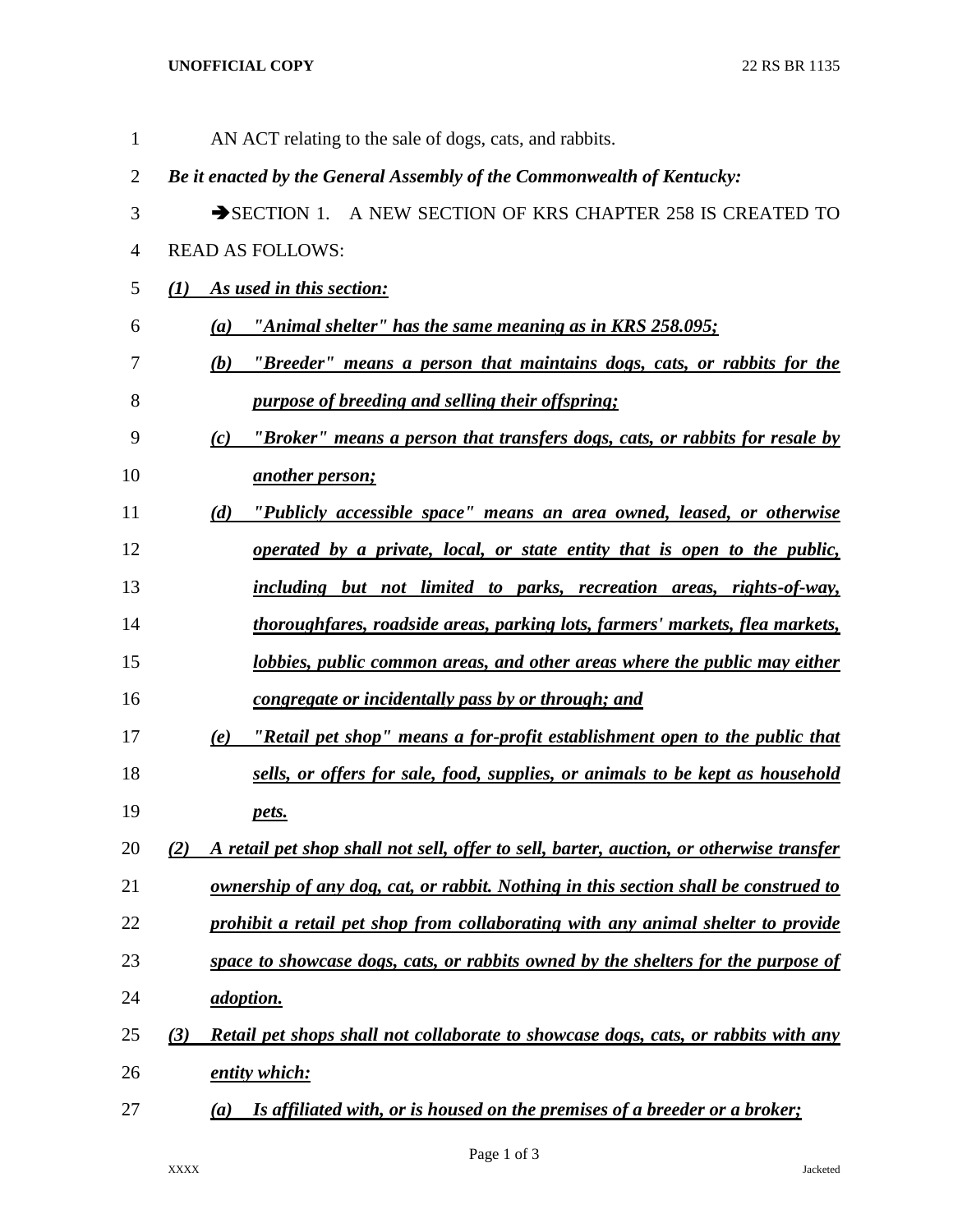## **UNOFFICIAL COPY** 22 RS BR 1135

| 1              | AN ACT relating to the sale of dogs, cats, and rabbits.                                        |
|----------------|------------------------------------------------------------------------------------------------|
| 2              | Be it enacted by the General Assembly of the Commonwealth of Kentucky:                         |
| 3              | SECTION 1. A NEW SECTION OF KRS CHAPTER 258 IS CREATED TO                                      |
| $\overline{4}$ | <b>READ AS FOLLOWS:</b>                                                                        |
| 5              | As used in this section:<br>$\mathbf{U}$                                                       |
| 6              | "Animal shelter" has the same meaning as in KRS 258.095;<br>(a)                                |
| 7              | (b) "Breeder" means a person that maintains dogs, cats, or rabbits for the                     |
| 8              | <i>purpose of breeding and selling their offspring:</i>                                        |
| 9              | "Broker" means a person that transfers dogs, cats, or rabbits for resale by<br>(c)             |
| 10             | <u>another person;</u>                                                                         |
| 11             | "Publicly accessible space" means an area owned, leased, or otherwise<br>(d)                   |
| 12             | operated by a private, local, or state entity that is open to the public,                      |
| 13             | including but not limited to parks, recreation areas, rights-of-way,                           |
| 14             | thoroughfares, roadside areas, parking lots, farmers' markets, flea markets,                   |
| 15             | lobbies, public common areas, and other areas where the public may either                      |
| 16             | congregate or incidentally pass by or through; and                                             |
| 17             | "Retail pet shop" means a for-profit establishment open to the public that<br>(e)              |
| 18             | sells, or offers for sale, food, supplies, or animals to be kept as household                  |
| 19             | pets.                                                                                          |
| 20             | A retail pet shop shall not sell, offer to sell, barter, auction, or otherwise transfer<br>(2) |
| 21             | <u>ownership of any dog, cat, or rabbit. Nothing in this section shall be construed to</u>     |
| 22             | prohibit a retail pet shop from collaborating with any animal shelter to provide               |
| 23             | space to showcase dogs, cats, or rabbits owned by the shelters for the purpose of              |
| 24             | <i>adoption.</i>                                                                               |
| 25             | Retail pet shops shall not collaborate to showcase dogs, cats, or rabbits with any<br>(3)      |
| 26             | entity which:                                                                                  |
| 27             | Is affiliated with, or is housed on the premises of a breeder or a broker;<br>$\left(a\right)$ |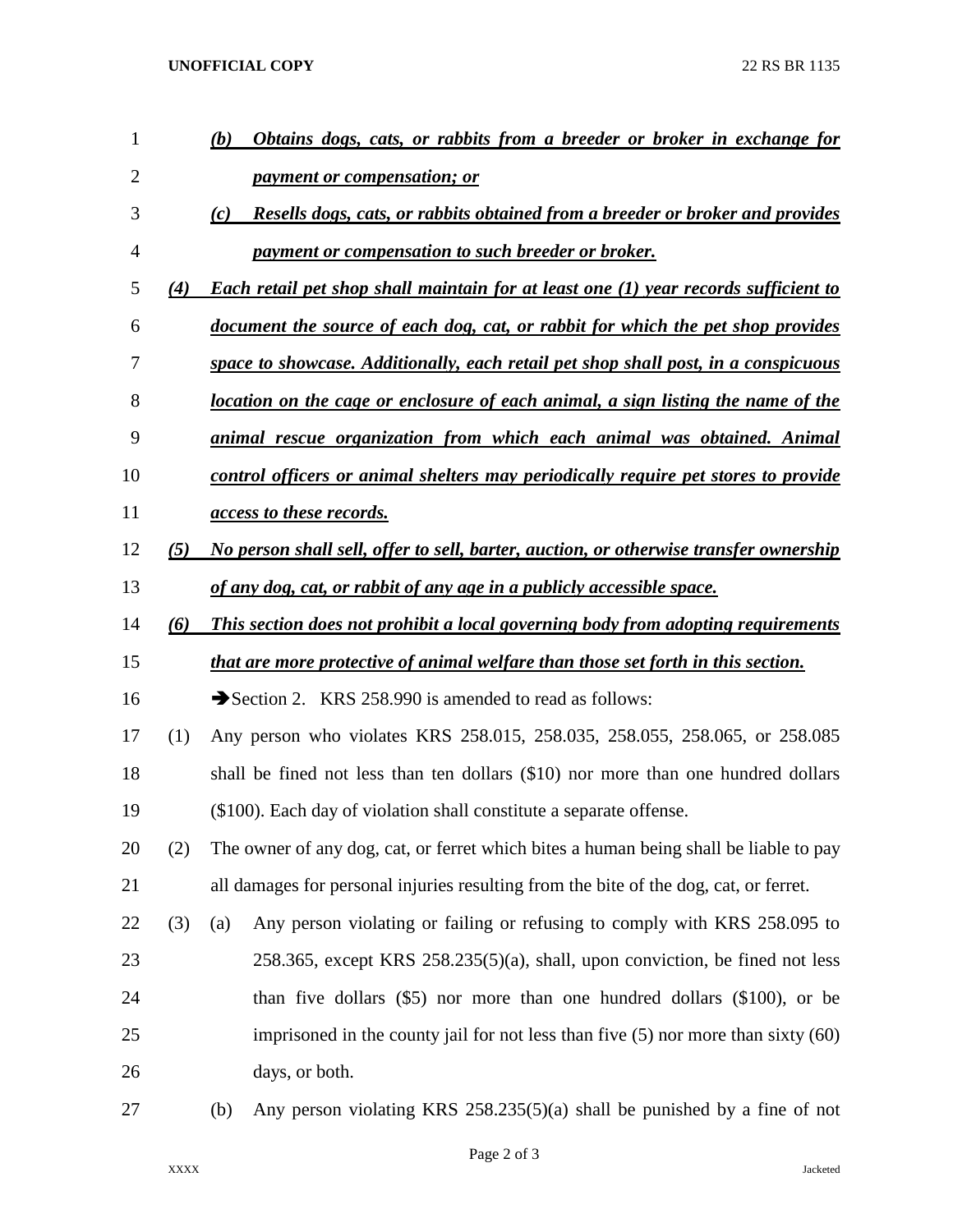## **UNOFFICIAL COPY** 22 RS BR 1135

| 1              |     | Obtains dogs, cats, or rabbits from a breeder or broker in exchange for<br>(b)             |
|----------------|-----|--------------------------------------------------------------------------------------------|
| $\overline{2}$ |     | <i>payment or compensation; or</i>                                                         |
| 3              |     | Resells dogs, cats, or rabbits obtained from a breeder or broker and provides<br>(c)       |
| $\overline{4}$ |     | payment or compensation to such breeder or broker.                                         |
| 5              | (4) | <b>Each retail pet shop shall maintain for at least one (1) year records sufficient to</b> |
| 6              |     | document the source of each dog, cat, or rabbit for which the pet shop provides            |
| 7              |     | space to showcase. Additionally, each retail pet shop shall post, in a conspicuous         |
| 8              |     | <u>location on the cage or enclosure of each animal, a sign listing the name of the</u>    |
| 9              |     | animal rescue organization from which each animal was obtained. Animal                     |
| 10             |     | control officers or animal shelters may periodically require pet stores to provide         |
| 11             |     | <i><u>access to these records.</u></i>                                                     |
| 12             | (5) | No person shall sell, offer to sell, barter, auction, or otherwise transfer ownership      |
| 13             |     | of any dog, cat, or rabbit of any age in a publicly accessible space.                      |
| 14             | (6) | This section does not prohibit a local governing body from adopting requirements           |
| 15             |     | that are more protective of animal welfare than those set forth in this section.           |
| 16             |     | Section 2. KRS 258.990 is amended to read as follows:                                      |
| 17             | (1) | Any person who violates KRS 258.015, 258.035, 258.055, 258.065, or 258.085                 |
| 18             |     | shall be fined not less than ten dollars (\$10) nor more than one hundred dollars          |
| 19             |     | $(\$100)$ . Each day of violation shall constitute a separate offense.                     |
| 20             | (2) | The owner of any dog, cat, or ferret which bites a human being shall be liable to pay      |
| 21             |     | all damages for personal injuries resulting from the bite of the dog, cat, or ferret.      |
| 22             | (3) | Any person violating or failing or refusing to comply with KRS 258.095 to<br>(a)           |
| 23             |     | 258.365, except KRS $258.235(5)(a)$ , shall, upon conviction, be fined not less            |
| 24             |     | than five dollars (\$5) nor more than one hundred dollars (\$100), or be                   |
| 25             |     | imprisoned in the county jail for not less than five $(5)$ nor more than sixty $(60)$      |
| 26             |     | days, or both.                                                                             |
| 27             |     | Any person violating KRS 258.235(5)(a) shall be punished by a fine of not<br>(b)           |

Page 2 of 3